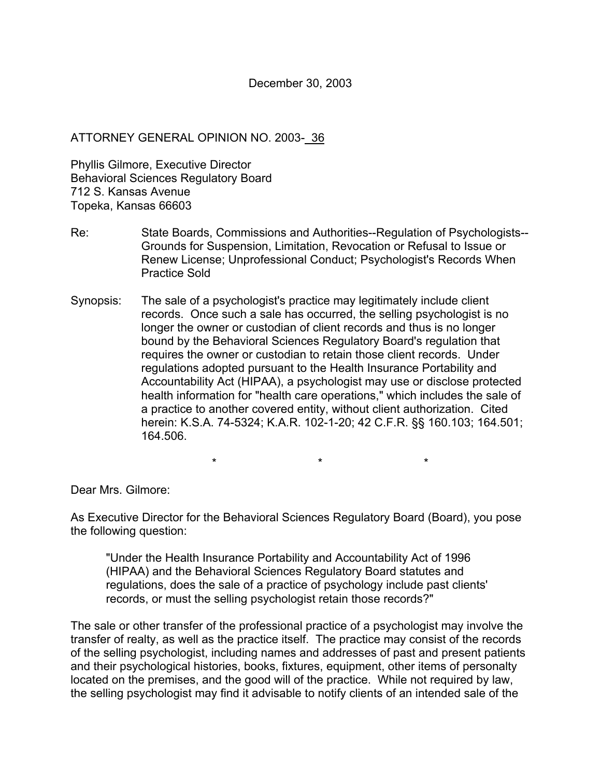## ATTORNEY GENERAL OPINION NO. 2003- 36

Phyllis Gilmore, Executive Director Behavioral Sciences Regulatory Board 712 S. Kansas Avenue Topeka, Kansas 66603

- Re: State Boards, Commissions and Authorities--Regulation of Psychologists-- Grounds for Suspension, Limitation, Revocation or Refusal to Issue or Renew License; Unprofessional Conduct; Psychologist's Records When Practice Sold
- Synopsis: The sale of a psychologist's practice may legitimately include client records. Once such a sale has occurred, the selling psychologist is no longer the owner or custodian of client records and thus is no longer bound by the Behavioral Sciences Regulatory Board's regulation that requires the owner or custodian to retain those client records. Under regulations adopted pursuant to the Health Insurance Portability and Accountability Act (HIPAA), a psychologist may use or disclose protected health information for "health care operations," which includes the sale of a practice to another covered entity, without client authorization. Cited herein: K.S.A. 74-5324; K.A.R. 102-1-20; 42 C.F.R. §§ 160.103; 164.501; 164.506.

\*\*\*

Dear Mrs. Gilmore:

As Executive Director for the Behavioral Sciences Regulatory Board (Board), you pose the following question:

"Under the Health Insurance Portability and Accountability Act of 1996 (HIPAA) and the Behavioral Sciences Regulatory Board statutes and regulations, does the sale of a practice of psychology include past clients' records, or must the selling psychologist retain those records?"

The sale or other transfer of the professional practice of a psychologist may involve the transfer of realty, as well as the practice itself. The practice may consist of the records of the selling psychologist, including names and addresses of past and present patients and their psychological histories, books, fixtures, equipment, other items of personalty located on the premises, and the good will of the practice. While not required by law, the selling psychologist may find it advisable to notify clients of an intended sale of the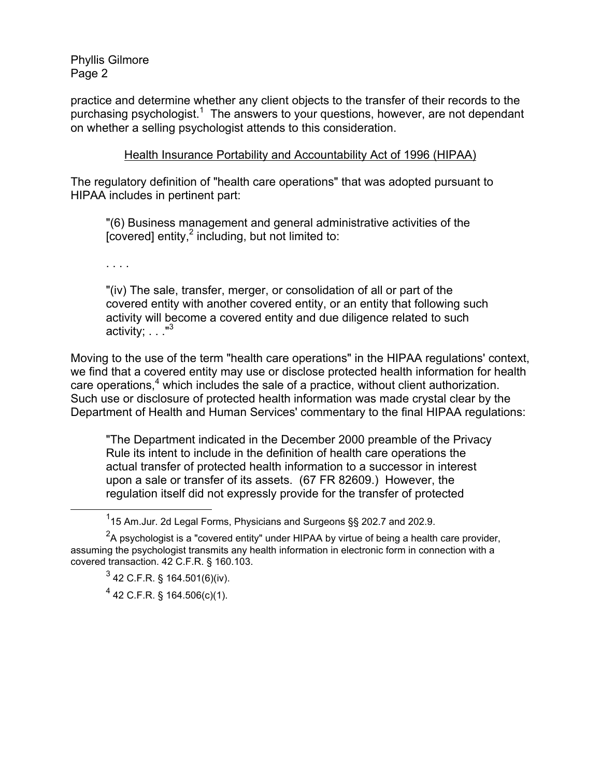practice and determine whether any client objects to the transfer of their records to the .<br>purchasing psychologist.<sup>1</sup> The answers to your questions, however, are not dependant on whether a selling psychologist attends to this consideration.

## Health Insurance Portability and Accountability Act of 1996 (HIPAA)

The regulatory definition of "health care operations" that was adopted pursuant to HIPAA includes in pertinent part:

"(6) Business management and general administrative activities of the [covered] entity, $2$  including, but not limited to:

. . . .

"(iv) The sale, transfer, merger, or consolidation of all or part of the covered entity with another covered entity, or an entity that following such activity will become a covered entity and due diligence related to such activity;  $\ldots$ <sup>3</sup>

Moving to the use of the term "health care operations" in the HIPAA regulations' context, we find that a covered entity may use or disclose protected health information for health care operations,<sup>4</sup> which includes the sale of a practice, without client authorization. Such use or disclosure of protected health information was made crystal clear by the Department of Health and Human Services' commentary to the final HIPAA regulations:

"The Department indicated in the December 2000 preamble of the Privacy Rule its intent to include in the definition of health care operations the actual transfer of protected health information to a successor in interest upon a sale or transfer of its assets. (67 FR 82609.) However, the regulation itself did not expressly provide for the transfer of protected

 <sup>1</sup> <sup>1</sup>15 Am.Jur. 2d Legal Forms, Physicians and Surgeons §§ 202.7 and 202.9.

 $^2$ A psychologist is a "covered entity" under HIPAA by virtue of being a health care provider, assuming the psychologist transmits any health information in electronic form in connection with a covered transaction. 42 C.F.R. § 160.103.

 $^3$  42 C.F.R. § 164.501(6)(iv).

 $4$  42 C.F.R. § 164.506(c)(1).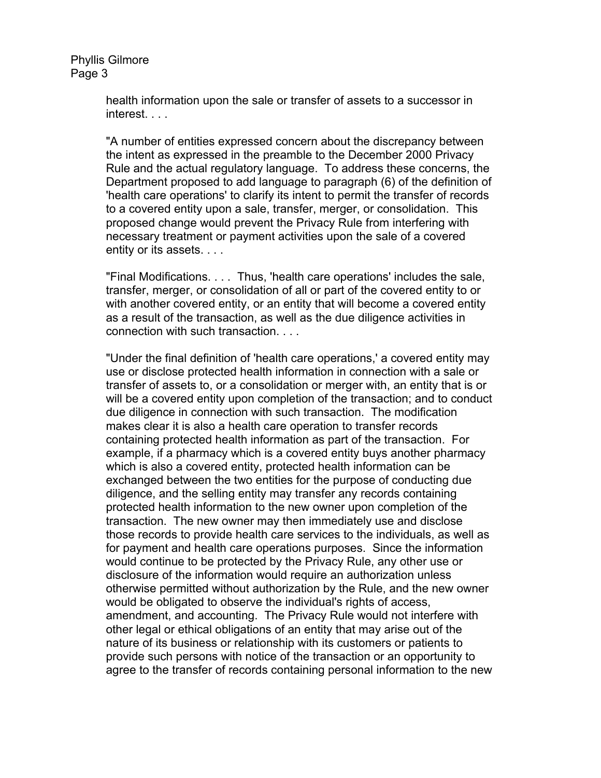> health information upon the sale or transfer of assets to a successor in interest. . . .

"A number of entities expressed concern about the discrepancy between the intent as expressed in the preamble to the December 2000 Privacy Rule and the actual regulatory language. To address these concerns, the Department proposed to add language to paragraph (6) of the definition of 'health care operations' to clarify its intent to permit the transfer of records to a covered entity upon a sale, transfer, merger, or consolidation. This proposed change would prevent the Privacy Rule from interfering with necessary treatment or payment activities upon the sale of a covered entity or its assets. . . .

"Final Modifications. . . . Thus, 'health care operations' includes the sale, transfer, merger, or consolidation of all or part of the covered entity to or with another covered entity, or an entity that will become a covered entity as a result of the transaction, as well as the due diligence activities in connection with such transaction. . . .

"Under the final definition of 'health care operations,' a covered entity may use or disclose protected health information in connection with a sale or transfer of assets to, or a consolidation or merger with, an entity that is or will be a covered entity upon completion of the transaction; and to conduct due diligence in connection with such transaction. The modification makes clear it is also a health care operation to transfer records containing protected health information as part of the transaction. For example, if a pharmacy which is a covered entity buys another pharmacy which is also a covered entity, protected health information can be exchanged between the two entities for the purpose of conducting due diligence, and the selling entity may transfer any records containing protected health information to the new owner upon completion of the transaction. The new owner may then immediately use and disclose those records to provide health care services to the individuals, as well as for payment and health care operations purposes. Since the information would continue to be protected by the Privacy Rule, any other use or disclosure of the information would require an authorization unless otherwise permitted without authorization by the Rule, and the new owner would be obligated to observe the individual's rights of access, amendment, and accounting. The Privacy Rule would not interfere with other legal or ethical obligations of an entity that may arise out of the nature of its business or relationship with its customers or patients to provide such persons with notice of the transaction or an opportunity to agree to the transfer of records containing personal information to the new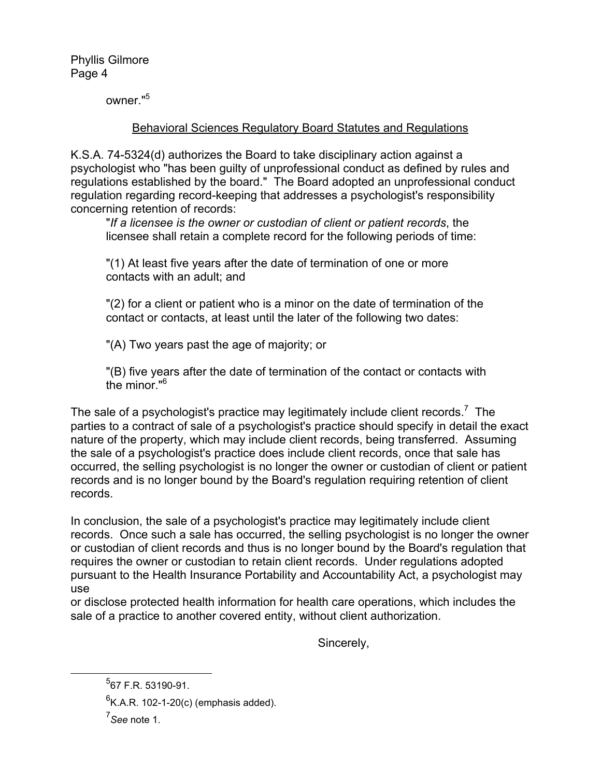owner."5

## Behavioral Sciences Regulatory Board Statutes and Regulations

K.S.A. 74-5324(d) authorizes the Board to take disciplinary action against a psychologist who "has been guilty of unprofessional conduct as defined by rules and regulations established by the board." The Board adopted an unprofessional conduct regulation regarding record-keeping that addresses a psychologist's responsibility concerning retention of records:

"*If a licensee is the owner or custodian of client or patient records*, the licensee shall retain a complete record for the following periods of time:

"(1) At least five years after the date of termination of one or more contacts with an adult; and

"(2) for a client or patient who is a minor on the date of termination of the contact or contacts, at least until the later of the following two dates:

"(A) Two years past the age of majority; or

"(B) five years after the date of termination of the contact or contacts with the minor."6

The sale of a psychologist's practice may legitimately include client records.<sup>7</sup> The parties to a contract of sale of a psychologist's practice should specify in detail the exact nature of the property, which may include client records, being transferred. Assuming the sale of a psychologist's practice does include client records, once that sale has occurred, the selling psychologist is no longer the owner or custodian of client or patient records and is no longer bound by the Board's regulation requiring retention of client records.

In conclusion, the sale of a psychologist's practice may legitimately include client records. Once such a sale has occurred, the selling psychologist is no longer the owner or custodian of client records and thus is no longer bound by the Board's regulation that requires the owner or custodian to retain client records. Under regulations adopted pursuant to the Health Insurance Portability and Accountability Act, a psychologist may use

or disclose protected health information for health care operations, which includes the sale of a practice to another covered entity, without client authorization.

Sincerely,

 <sup>5</sup>  $5$ 67 F.R. 53190-91.

 $^{6}$ K.A.R. 102-1-20(c) (emphasis added).

<sup>7</sup> *See* note 1.